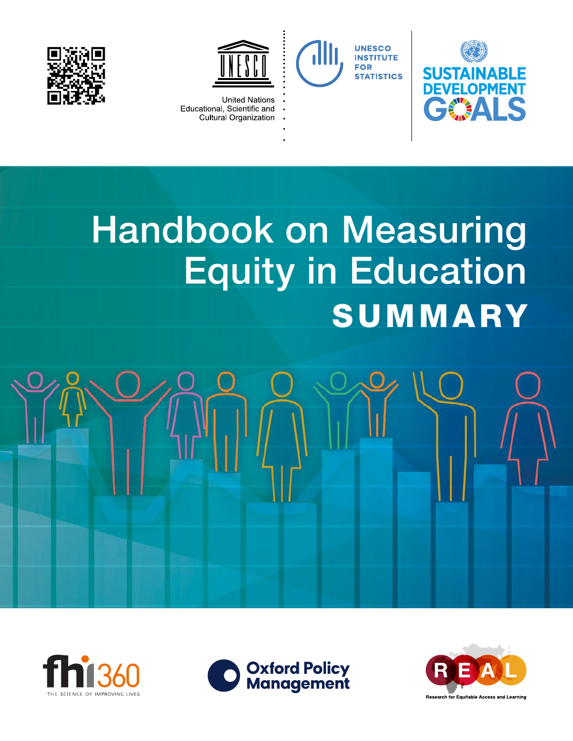



**UNESCO INSTITUTE FOR** 

**STATISTICS** 





- **United Nations** Educational, Scientific and  $\overline{a}$ 
	- Cultural Organization

# Handbook on Measuring Equity in Education **SUMMARY**







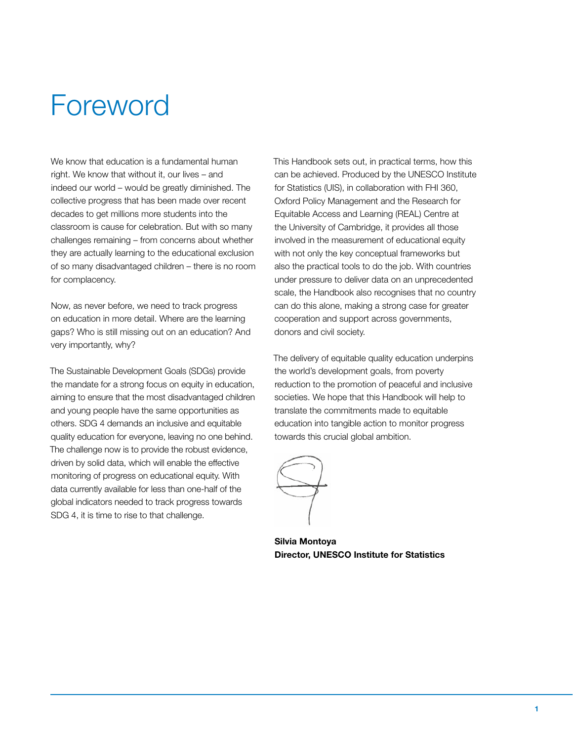### Foreword

We know that education is a fundamental human right. We know that without it, our lives – and indeed our world – would be greatly diminished. The collective progress that has been made over recent decades to get millions more students into the classroom is cause for celebration. But with so many challenges remaining – from concerns about whether they are actually learning to the educational exclusion of so many disadvantaged children – there is no room for complacency.

Now, as never before, we need to track progress on education in more detail. Where are the learning gaps? Who is still missing out on an education? And very importantly, why?

The Sustainable Development Goals (SDGs) provide the mandate for a strong focus on equity in education, aiming to ensure that the most disadvantaged children and young people have the same opportunities as others. SDG 4 demands an inclusive and equitable quality education for everyone, leaving no one behind. The challenge now is to provide the robust evidence, driven by solid data, which will enable the effective monitoring of progress on educational equity. With data currently available for less than one-half of the global indicators needed to track progress towards SDG 4, it is time to rise to that challenge.

This Handbook sets out, in practical terms, how this can be achieved. Produced by the UNESCO Institute for Statistics (UIS), in collaboration with FHI 360, Oxford Policy Management and the Research for Equitable Access and Learning (REAL) Centre at the University of Cambridge, it provides all those involved in the measurement of educational equity with not only the key conceptual frameworks but also the practical tools to do the job. With countries under pressure to deliver data on an unprecedented scale, the Handbook also recognises that no country can do this alone, making a strong case for greater cooperation and support across governments, donors and civil society.

The delivery of equitable quality education underpins the world's development goals, from poverty reduction to the promotion of peaceful and inclusive societies. We hope that this Handbook will help to translate the commitments made to equitable education into tangible action to monitor progress towards this crucial global ambition.

Silvia Montoya Director, UNESCO Institute for Statistics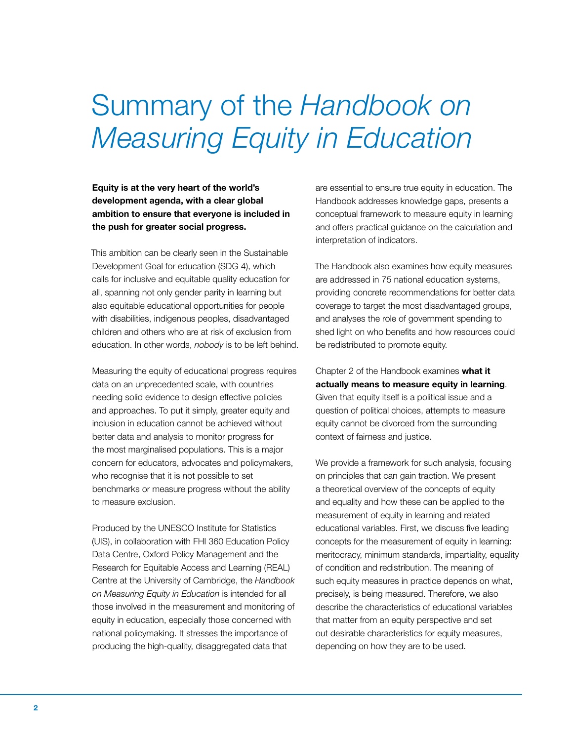## Summary of the *Handbook on Measuring Equity in Education*

Equity is at the very heart of the world's development agenda, with a clear global ambition to ensure that everyone is included in the push for greater social progress.

This ambition can be clearly seen in the Sustainable Development Goal for education (SDG 4), which calls for inclusive and equitable quality education for all, spanning not only gender parity in learning but also equitable educational opportunities for people with disabilities, indigenous peoples, disadvantaged children and others who are at risk of exclusion from education. In other words, *nobody* is to be left behind.

Measuring the equity of educational progress requires data on an unprecedented scale, with countries needing solid evidence to design effective policies and approaches. To put it simply, greater equity and inclusion in education cannot be achieved without better data and analysis to monitor progress for the most marginalised populations. This is a major concern for educators, advocates and policymakers, who recognise that it is not possible to set benchmarks or measure progress without the ability to measure exclusion.

Produced by the UNESCO Institute for Statistics (UIS), in collaboration with FHI 360 Education Policy Data Centre, Oxford Policy Management and the Research for Equitable Access and Learning (REAL) Centre at the University of Cambridge, the *Handbook on Measuring Equity in Education* is intended for all those involved in the measurement and monitoring of equity in education, especially those concerned with national policymaking. It stresses the importance of producing the high-quality, disaggregated data that

are essential to ensure true equity in education. The Handbook addresses knowledge gaps, presents a conceptual framework to measure equity in learning and offers practical guidance on the calculation and interpretation of indicators.

The Handbook also examines how equity measures are addressed in 75 national education systems, providing concrete recommendations for better data coverage to target the most disadvantaged groups, and analyses the role of government spending to shed light on who benefits and how resources could be redistributed to promote equity.

Chapter 2 of the Handbook examines what it actually means to measure equity in learning. Given that equity itself is a political issue and a question of political choices, attempts to measure equity cannot be divorced from the surrounding context of fairness and justice.

We provide a framework for such analysis, focusing on principles that can gain traction. We present a theoretical overview of the concepts of equity and equality and how these can be applied to the measurement of equity in learning and related educational variables. First, we discuss five leading concepts for the measurement of equity in learning: meritocracy, minimum standards, impartiality, equality of condition and redistribution. The meaning of such equity measures in practice depends on what, precisely, is being measured. Therefore, we also describe the characteristics of educational variables that matter from an equity perspective and set out desirable characteristics for equity measures, depending on how they are to be used.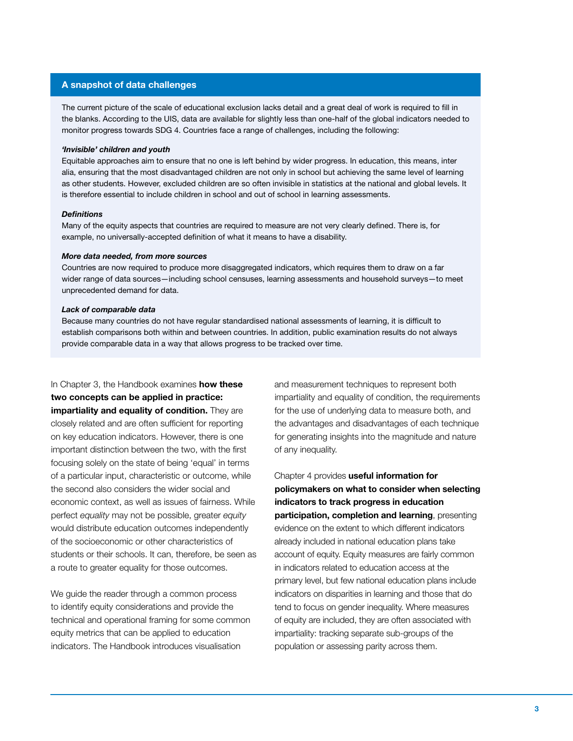#### A snapshot of data challenges

The current picture of the scale of educational exclusion lacks detail and a great deal of work is required to fill in the blanks. According to the UIS, data are available for slightly less than one-half of the global indicators needed to monitor progress towards SDG 4. Countries face a range of challenges, including the following:

#### *'Invisible' children and youth*

Equitable approaches aim to ensure that no one is left behind by wider progress. In education, this means, inter alia, ensuring that the most disadvantaged children are not only in school but achieving the same level of learning as other students. However, excluded children are so often invisible in statistics at the national and global levels. It is therefore essential to include children in school and out of school in learning assessments.

#### *Definitions*

Many of the equity aspects that countries are required to measure are not very clearly defined. There is, for example, no universally-accepted definition of what it means to have a disability.

#### *More data needed, from more sources*

Countries are now required to produce more disaggregated indicators, which requires them to draw on a far wider range of data sources—including school censuses, learning assessments and household surveys—to meet unprecedented demand for data.

#### *Lack of comparable data*

Because many countries do not have regular standardised national assessments of learning, it is difficult to establish comparisons both within and between countries. In addition, public examination results do not always provide comparable data in a way that allows progress to be tracked over time.

### In Chapter 3, the Handbook examines **how these**

two concepts can be applied in practice:

impartiality and equality of condition. They are closely related and are often sufficient for reporting on key education indicators. However, there is one important distinction between the two, with the first focusing solely on the state of being 'equal' in terms of a particular input, characteristic or outcome, while the second also considers the wider social and economic context, as well as issues of fairness. While perfect *equality* may not be possible, greater *equity* would distribute education outcomes independently of the socioeconomic or other characteristics of students or their schools. It can, therefore, be seen as a route to greater equality for those outcomes.

We guide the reader through a common process to identify equity considerations and provide the technical and operational framing for some common equity metrics that can be applied to education indicators. The Handbook introduces visualisation

and measurement techniques to represent both impartiality and equality of condition, the requirements for the use of underlying data to measure both, and the advantages and disadvantages of each technique for generating insights into the magnitude and nature of any inequality.

Chapter 4 provides useful information for policymakers on what to consider when selecting indicators to track progress in education participation, completion and learning, presenting evidence on the extent to which different indicators already included in national education plans take account of equity. Equity measures are fairly common in indicators related to education access at the primary level, but few national education plans include indicators on disparities in learning and those that do tend to focus on gender inequality. Where measures of equity are included, they are often associated with impartiality: tracking separate sub-groups of the population or assessing parity across them.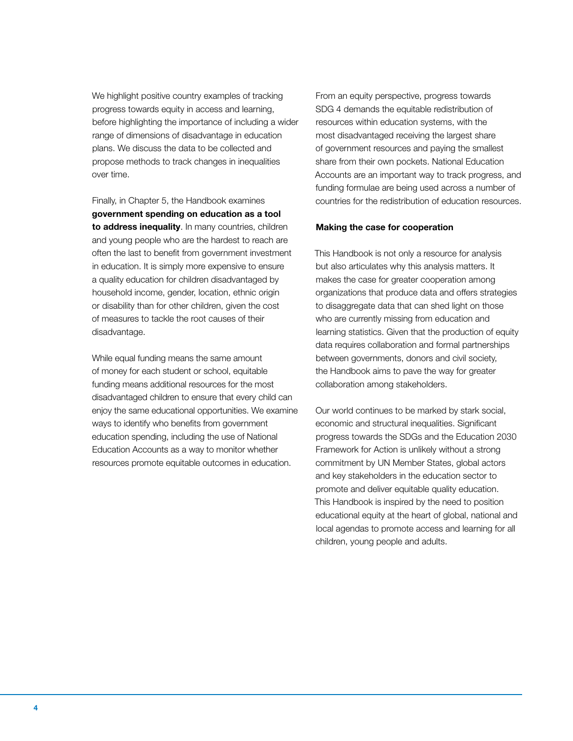We highlight positive country examples of tracking progress towards equity in access and learning, before highlighting the importance of including a wider range of dimensions of disadvantage in education plans. We discuss the data to be collected and propose methods to track changes in inequalities over time.

Finally, in Chapter 5, the Handbook examines government spending on education as a tool to address inequality. In many countries, children and young people who are the hardest to reach are often the last to benefit from government investment in education. It is simply more expensive to ensure a quality education for children disadvantaged by household income, gender, location, ethnic origin or disability than for other children, given the cost of measures to tackle the root causes of their disadvantage.

While equal funding means the same amount of money for each student or school, equitable funding means additional resources for the most disadvantaged children to ensure that every child can enjoy the same educational opportunities. We examine ways to identify who benefits from government education spending, including the use of National Education Accounts as a way to monitor whether resources promote equitable outcomes in education.

From an equity perspective, progress towards SDG 4 demands the equitable redistribution of resources within education systems, with the most disadvantaged receiving the largest share of government resources and paying the smallest share from their own pockets. National Education Accounts are an important way to track progress, and funding formulae are being used across a number of countries for the redistribution of education resources.

#### Making the case for cooperation

This Handbook is not only a resource for analysis but also articulates why this analysis matters. It makes the case for greater cooperation among organizations that produce data and offers strategies to disaggregate data that can shed light on those who are currently missing from education and learning statistics. Given that the production of equity data requires collaboration and formal partnerships between governments, donors and civil society, the Handbook aims to pave the way for greater collaboration among stakeholders.

Our world continues to be marked by stark social, economic and structural inequalities. Significant progress towards the SDGs and the Education 2030 Framework for Action is unlikely without a strong commitment by UN Member States, global actors and key stakeholders in the education sector to promote and deliver equitable quality education. This Handbook is inspired by the need to position educational equity at the heart of global, national and local agendas to promote access and learning for all children, young people and adults.